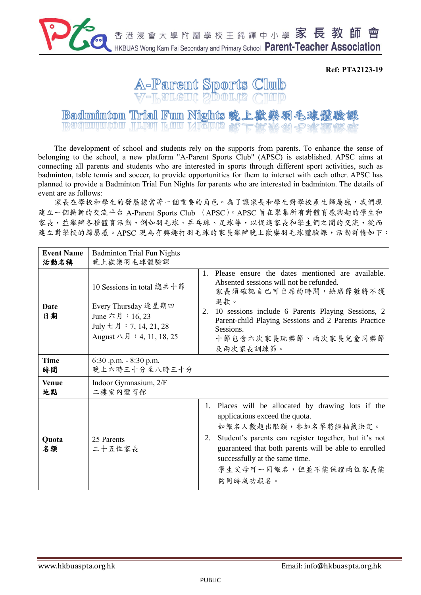

**Ref: PTA2123-19**



**Badminton Trial Fun Nights 晚上歡樂** REQUIPTION THEN KUL NICTOR

The development of school and students rely on the supports from parents. To enhance the sense of belonging to the school, a new platform "A-Parent Sports Club" (APSC) is established. APSC aims at connecting all parents and students who are interested in sports through different sport activities, such as badminton, table tennis and soccer, to provide opportunities for them to interact with each other. APSC has planned to provide a Badminton Trial Fun Nights for parents who are interested in badminton. The details of event are as follows:

家長在學校和學生的發展擔當著一個重要的角色。為了讓家長和學生對學校產生歸屬感,我們現 建立一個嶄新的交流平台 A-Parent Sports Club (APSC)。APSC 旨在聚集所有對體育感興趣的學生和 家長,並舉辦各種體育活動,例如羽毛球、乒乓球、足球等,以促進家長和學生們之間的交流,從而 建立對學校的歸屬感。APSC 現為有興趣打羽毛球的家長舉辦晚上歡樂羽毛球體驗課,活動詳情如下:

| <b>Event Name</b><br>活動名稱 | <b>Badminton Trial Fun Nights</b><br>晚上歡樂羽毛球體驗課                                                                                    |               |                                                                                                                                                                                                                                                                                                     |
|---------------------------|------------------------------------------------------------------------------------------------------------------------------------|---------------|-----------------------------------------------------------------------------------------------------------------------------------------------------------------------------------------------------------------------------------------------------------------------------------------------------|
| Date<br>日期                | 10 Sessions in total 總共十節<br>Every Thursday 逢星期四<br>June 六月: 16, 23<br>July 七月: 7, 14, 21, 28<br>August $\wedge$ 月 : 4, 11, 18, 25 | $1_{-}$<br>2. | Please ensure the dates mentioned are available.<br>Absented sessions will not be refunded.<br>家長須確認自己可出席的時間,缺席節數將不獲<br>退款。<br>10 sessions include 6 Parents Playing Sessions, 2<br>Parent-child Playing Sessions and 2 Parents Practice<br>Sessions.<br>十節包含六次家長玩樂節、兩次家長兒童同樂節<br>及兩次家長訓練節。         |
| <b>Time</b><br>時間         | $6:30$ .p.m. $-8:30$ p.m.<br>晚上六時三十分至八時三十分                                                                                         |               |                                                                                                                                                                                                                                                                                                     |
| <b>Venue</b><br>地點        | Indoor Gymnasium, 2/F<br>二樓室內體育館                                                                                                   |               |                                                                                                                                                                                                                                                                                                     |
| Quota<br>名額               | 25 Parents<br>二十五位家長                                                                                                               | 1.<br>2.      | Places will be allocated by drawing lots if the<br>applications exceed the quota.<br>如報名人數超出限額,參加名單將經抽籤決定。<br>Student's parents can register together, but it's not<br>guaranteed that both parents will be able to enrolled<br>successfully at the same time.<br>學生父母可一同報名,但並不能保證兩位家長能<br>夠同時成功報名。 |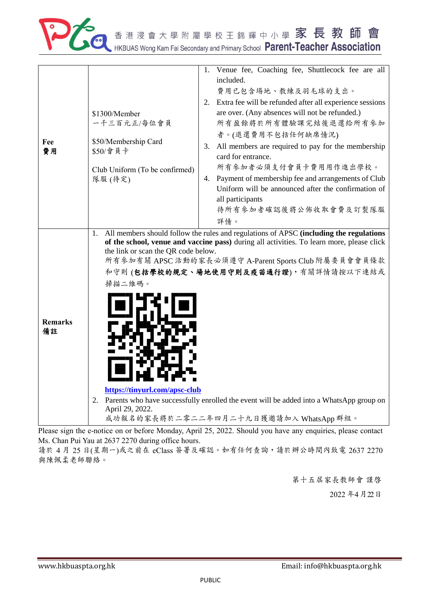

|                |                                                                                                                          | Venue fee, Coaching fee, Shuttlecock fee are all<br>1.                                                                                                                      |  |  |
|----------------|--------------------------------------------------------------------------------------------------------------------------|-----------------------------------------------------------------------------------------------------------------------------------------------------------------------------|--|--|
|                |                                                                                                                          | included.                                                                                                                                                                   |  |  |
| Fee<br>費用      |                                                                                                                          | 費用已包含場地、教練及羽毛球的支出。                                                                                                                                                          |  |  |
|                |                                                                                                                          |                                                                                                                                                                             |  |  |
|                |                                                                                                                          | Extra fee will be refunded after all experience sessions<br>2.                                                                                                              |  |  |
|                | \$1300/Member                                                                                                            | are over. (Any absences will not be refunded.)                                                                                                                              |  |  |
|                | 一千三百元正/每位會員                                                                                                              | 所有盈餘將於所有體驗課完結後退還給所有參加                                                                                                                                                       |  |  |
|                | \$50/Membership Card<br>\$50/會員卡<br>Club Uniform (To be confirmed)<br>隊服(待定)                                             | 者。(退還費用不包括任何缺席情況)                                                                                                                                                           |  |  |
|                |                                                                                                                          | All members are required to pay for the membership<br>3.                                                                                                                    |  |  |
|                |                                                                                                                          | card for entrance.                                                                                                                                                          |  |  |
|                |                                                                                                                          | 所有參加者必須支付會員卡費用用作進出學校。                                                                                                                                                       |  |  |
|                |                                                                                                                          | Payment of membership fee and arrangements of Club<br>4.                                                                                                                    |  |  |
|                |                                                                                                                          | Uniform will be announced after the confirmation of                                                                                                                         |  |  |
|                |                                                                                                                          | all participants                                                                                                                                                            |  |  |
|                |                                                                                                                          | 待所有參加者確認後將公佈收取會費及訂製隊服                                                                                                                                                       |  |  |
|                |                                                                                                                          | 詳情。                                                                                                                                                                         |  |  |
|                | 1.                                                                                                                       | All members should follow the rules and regulations of APSC (including the regulations                                                                                      |  |  |
|                | of the school, venue and vaccine pass) during all activities. To learn more, please click                                |                                                                                                                                                                             |  |  |
|                | the link or scan the QR code below.<br>所有参加有關 APSC 活動的家長必須遵守 A-Parent Sports Club 附屬委員會會員條款                              |                                                                                                                                                                             |  |  |
|                | 和守則(包括學校的規定、場地使用守則及疫苗通行證),有關詳情請按以下連結或                                                                                    |                                                                                                                                                                             |  |  |
|                |                                                                                                                          |                                                                                                                                                                             |  |  |
|                | 掃描二維碼。                                                                                                                   |                                                                                                                                                                             |  |  |
|                |                                                                                                                          |                                                                                                                                                                             |  |  |
|                |                                                                                                                          |                                                                                                                                                                             |  |  |
| <b>Remarks</b> |                                                                                                                          |                                                                                                                                                                             |  |  |
| 備註             |                                                                                                                          |                                                                                                                                                                             |  |  |
|                |                                                                                                                          |                                                                                                                                                                             |  |  |
|                |                                                                                                                          |                                                                                                                                                                             |  |  |
|                |                                                                                                                          |                                                                                                                                                                             |  |  |
|                |                                                                                                                          |                                                                                                                                                                             |  |  |
|                |                                                                                                                          |                                                                                                                                                                             |  |  |
|                | https://tinyurl.com/apsc-club<br>Parents who have successfully enrolled the event will be added into a WhatsApp group on |                                                                                                                                                                             |  |  |
|                | 2.<br>April 29, 2022.                                                                                                    |                                                                                                                                                                             |  |  |
|                |                                                                                                                          | 成功報名的家長將於二零二二年四月二十九日獲邀請加入 WhatsApp 群組。                                                                                                                                      |  |  |
|                |                                                                                                                          | $\mathcal{L} = \mathbf{L} \cdot \mathbf{L}$ and $\mathbf{L} = \mathbf{A} \cdot \mathbf{L} \cdot \mathbf{L}$ and $\mathbf{L} = \mathbf{A} \cdot \mathbf{L} \cdot \mathbf{L}$ |  |  |

Please sign the e-notice on or before Monday, April 25, 2022. Should you have any enquiries, please contact Ms. Chan Pui Yau at 2637 2270 during office hours.

請於 4月 25日(星期一)或之前在 eClass 簽署及確認。如有任何查詢,請於辦公時間內致電 2637 2270 與陳佩柔老師聯絡。

第十五屆家長教師會 謹啓

2022 年4月22日